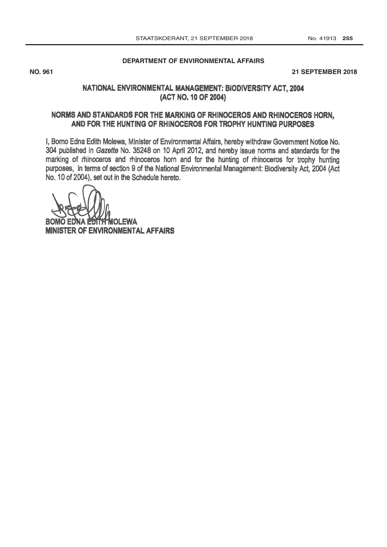#### **[DEPARTMENT OF ENVIRONMENTAL AFFAIRS](http://www.greengazette.co.za/departments/envonmental)**

#### 2018 **NO. 961 21 SEPTEMBER 2018**

#### NATIONAL ENVIRONMENTAL MANAGEMENT; BIODIVERSITY ACT, 2004 (ACT NO. 10 OF 2004)

## NORMS AND STANDARDS FOR THE MARKING OF RHINOCEROS AND RHINOCEROS HORN, AND FOR THE HUNTING OF RHINOCEROS FOR TROPHY HUNTING PURPOSES

I, Bomo Edna Edith Molewa, Minister of Environmental Affairs, hereby withdraw Government Notice No. 304 published in Gazette No. 35248 on 10 April 2012, and hereby issue norms and standards for the marking of rhinoceros and rhinoceros horn and for the hunting of rhinoceros for trophy hunting purposes, in terms of section 9 of the National Environmental Management: Biodiversity Act, 2004 (Act No. 10 of 2004), set out in the Schedule hereto.

**OLEWA MINISTER OF ENVIRONMENTAL AFFAIRS**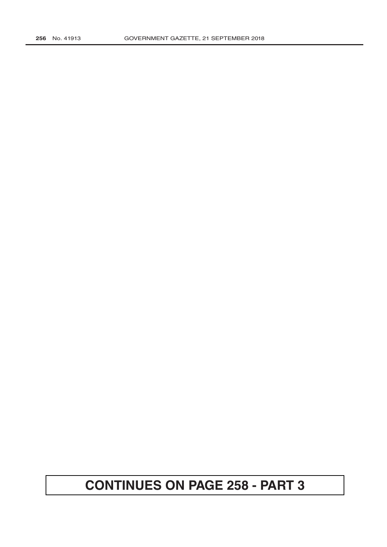# **CONTINUES ON PAGE 258 - PART 3**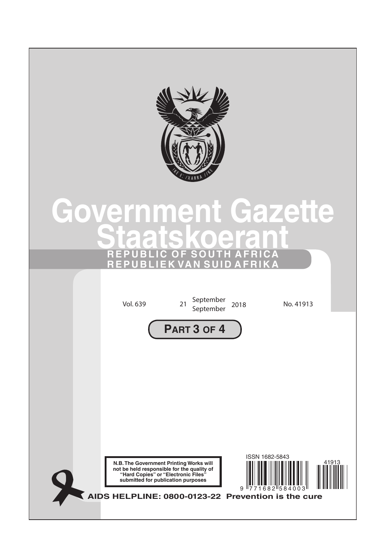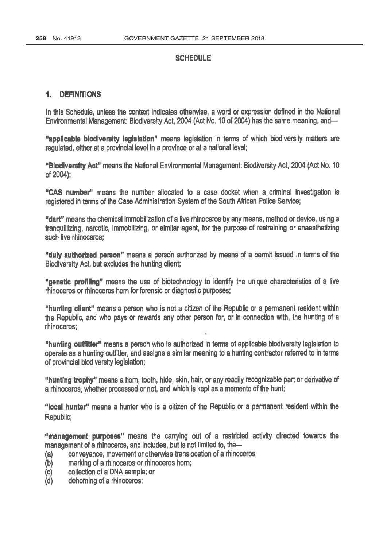### **SCHEDULE**

#### 1. DEFINITIONS

In this Schedule, unless the context indicates otherwise, a word or expression defined in the National Environmental Management: Biodiversity Act, 2004 (Act No. 10 of 2004) has the same meaning, and-

"applicable blodlversity legislation" means legislation in terms of which biodiversity matters are regulated, either at a provincial level in a province or at a national level;

" Blodiversity Act" means the National Environmental Management: Biodiversity Act, 2004 (Act No. 10 of 2004);

"CAS number" means the number allocated to a case docket when a criminal investigation is registered in terms of the Case Administration System of the South African Police Service;

"dart" means the chemical immobilization of a live rhinoceros by any means, method or device, using a tranquillizing, narcotic, immobilizing, or similar agent, for the purpose of restraining or anaesthetizing such live rhinoceros:

"duly authorized person" means a person authorized by means of a permit issued in terms of the Biodiversity Act, but excludes the hunting client;

"genetic profiling" means the use of biotechnology to identify the unique characteristics of a live rhinoceros or rhinoceros horn for forensic or diagnostic purposes;

"hunting client" means a person who is not a citizen of the Republic or a permanent resident within the Republic, and who pays or rewards any other person for, or in connection with, the hunting of a rhinoceros;

"hunting outfitter" means a person who is authorized in terms of applicable biodiversity legislation to operate as a hunting outfitter, and assigns a similar meaning to a hunting contractor referred to in terms of provincial biodiversity legislation;

"hunting trophy" means a horn, tooth, hide, skin, hair, or any readily recognizable part or derivative of a rhinoceros, whether processed or not, and which is kept as a memento of the hunt;

"local hunter" means a hunter who is a citizen of the Republic or a permanent resident within the Republic;

"management purposes" means the carrying out of a restricted activity directed towards the management of a rhinoceros, and includes, but is not limited to, the-

- (a) conveyance, movement or otherwise translocation of a rhinoceros;
- (b) marking of a rhinoceros or rhinoceros horn;
- (c) collection of a DNA sample; or
- (d) dehorning of a rhinoceros;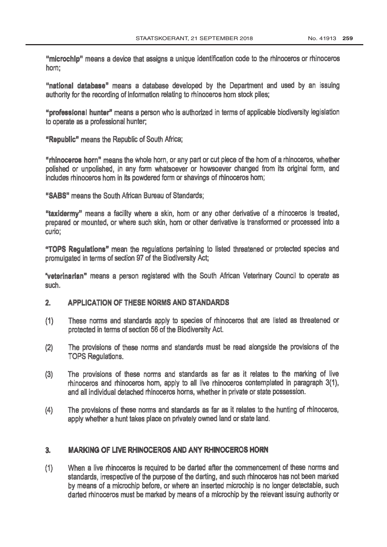"microchip" means a device that assigns a unique identification code to the rhinoceros or rhinoceros horn;

"national database" means a database developed by the Department and used by an issuing authority for the recording of information relating to rhinoceros horn stock piles;

"professional hunter" means a person who is authorized in terms of applicable biodiversity legislation to operate as a professional hunter;

"Republic" means the Republic of South Africa;

"rhinoceros horn" means the whole horn, or any part or cut piece of the horn of a rhinoceros, whether polished or unpolished, in any form whatsoever or howsoever changed from its original form, and includes rhinoceros hom in its powdered form or shavings of rhinoceros hom;

"SABS" means the South African Bureau of Standards;

"taxidermy" means a facility where a skin, hom or any other derivative of a rhinoceros is treated, prepared or mounted, or where such skin, horn or other derivative is transformed or processed into a curio;

"TOPS Regulations" mean the regulations pertaining to listed threatened or protected species and promulgated in terms of section 97 of the Biodiversity Act;

`veterinarian" means a person registered with the South African Veterinary Council to operate as such.

## 2. APPLICATION OF THESE NORMS AND STANDARDS

- These norms and standards apply to species of rhinoceros that are listed as threatened or  $(1)$ protected in terms of section 56 of the Biodiversity Act.
- (2) The provisions of these norms and standards must be read alongside the provisions of the TOPS Regulations.
- (3) The provisions of these norms and standards as far as it relates to the marking of live rhinoceros and rhinoceros horn, apply to all live rhinoceros contemplated in paragraph 3(1), and all individual detached rhinoceros horns, whether in private or state possession.
- (4) The provisions of these norms and standards as far as it relates to the hunting of rhinoceros, apply whether a hunt takes place on privately owned land or state land.

#### $3.$ **MARKING OF LIVE RHINOCEROS AND ANY RHINOCEROS HORN**

(1) When a live rhinoceros is required to be darted after the commencement of these norms and standards, irrespective of the purpose of the darting, and such rhinoceros has not been marked by means of a microchip before, or where an inserted microchip is no longer detectable, such darted rhinoceros must be marked by means of a microchip by the relevant issuing authority or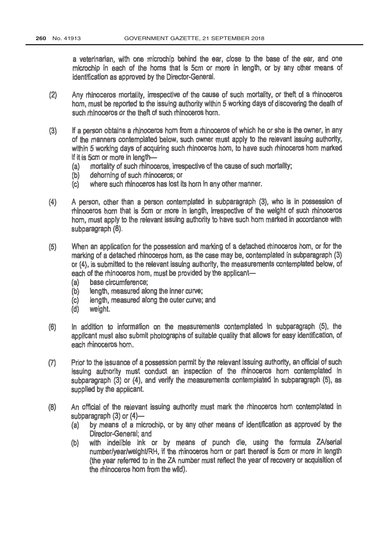a veterinarian, with one microchip behind the ear, close to the base of the ear, and one and of microchip in each of the horns that is 5cm or more in length, or by any other means of identification as approved by the Director -General.

- Any rhinoceros mortality, irrespective of the cause of such mortality, or theft of a rhinoceros  $(2)$ horn, must be reported to the issuing authority within 5 working days of discovering the death of such rhinoceros or the theft of such rhinoceros horn.
- If a person obtains a rhinoceros horn from a rhinoceros of which he or she is the owner, in any of the manners contemplated below, such owner must apply to the relevant issuing authority,  $(3)$ of the manners contemplated below, such owner must apply to the relevant issuing authority, within 5 working days of acquiring such rhinoceros horn, to have such rhinoceros horn marked if it is 5cm or more in length-
	- (a) mortality of such rhinoceros, irrespective of the cause of such mortality;
	- (b) dehorning of such rhinoceros; or<br>(c) where such rhinoceros has lost it
	- where such rhinoceros has lost its horn in any other manner.
- (4) A person, other than a person contemplated in subparagraph (3), who is in possession of rhinoceros horn that is 5cm or more in length, irrespective of the weight of such rhinoceros horn, must apply to the relevant issuing authority to have such horn marked in accordance with subparagraph (8).
- (5) When an application for the possession and marking of a detached rhinoceros horn, or for the marking of a detached rhinoceros horn, as the case may be, contemplated in subparagraph (3) or (4), is submitted to the relevant issuing authority, the measurements contemplated below, of each of the rhinoceros hom, must be provided by the applicant-<br>(a) base circumference:
	- (a) base circumference;<br>(b) length, measured ald
	- (b) length, measured along the inner curve;<br>(c) length, measured along the outer curve;
	- (c) length, measured along the outer curve; and (d) weight.
	- weight.
- (6) In addition to information on the measurements contemplated in subparagraph (5), the applicant must also submit photographs of suitable quality that allows for easy identification, of each rhinoceros horn.
- (7) Prior to the issuance of a possession permit by the relevant issuing authority, an official of such issuing authority must conduct an inspection of the rhinoceros horn contemplated in subparagraph (3) or (4), and verify the measurements contemplated in subparagraph (5), as supplied by the applicant.
- (a) An official of the relevant issuing authority must mark the rhinoceros horn contemplated in subparagraph  $(3)$  or  $(4)$ -
	- (a) by means of a microchip, or by any other means of identification as approved by the Director -General; and
	- (b) with indelible ink or by means of punch die, using the formula ZA/serial number/year/weight/RH, if the rhinoceros horn or part thereof is 5cm or more in length (the year referred to in the ZA number must reflect the year of recovery or acquisition of the rhinoceros horn from the wild).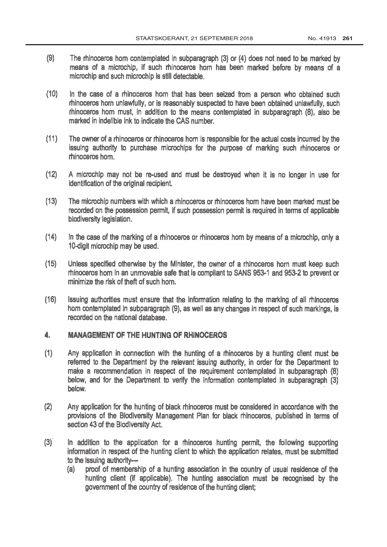- (9) The rhinoceros horn contemplated in subparagraph (3) or (4) does not need to be marked by means of a microchip, if such rhinoceros horn has been marked before by means of a microchip and such microchip is still detectable.
- (10) In the case of a rhinoceros horn that has been seized from a person who obtained such rhinoceros horn unlawfully, or is reasonably suspected to have been obtained unlawfully, such rhinoceros horn must, in addition to the means contemplated in subparagraph (8), also be marked in indelible ink to indicate the CAS number.
- (11) The owner of a rhinoceros or rhinoceros horn is responsible for the actual costs incurred by the issuing authority to purchase microchips for the purpose of marking such rhinoceros or rhinoceros horn.
- (12) A microchip may not be re -used and must be destroyed when it is no longer in use for identification of the original recipient.
- (13) The microchip numbers with which a rhinoceros or rhinoceros horn have been marked must be recorded on the possession permit, if such possession permit is required in terms of applicable biodiversity legislation.
- (14) In the case of the marking of a rhinoceros or rhinoceros horn by means of a microchip, only a 10-digit microchip may be used.
- (15) Unless specified otherwise by the Minister, the owner of a rhinoceros horn must keep such rhinoceros horn in an unmovable safe that is compliant to SANS 953-1 and 953-2 to prevent or minimize the risk of theft of such horn.
- (16) Issuing authorities must ensure that the information relating to the marking of all rhinoceros horn contemplated in subparagraph (9), as well as any changes in respect of such markings, is recorded on the national database.

#### 4. MANAGEMENT OF THE HUNTING OF RHINOCEROS

- (1) Any application in connection with the hunting of a rhinoceros by a hunting client must be referred to the Department by the relevant issuing authority, in order for the Department to make a recommendation in respect of the requirement contemplated in subparagraph (8) below, and for the Department to verify the information contemplated in subparagraph (3) below.
- (2) Any application for the hunting of black rhinoceros must be considered in accordance with the provisions of the Biodiversity Management Plan for black rhinoceros, published in terms of section 43 of the Biodiversity Act.
- (3). In addition to the application for a rhinoceros hunting permit, the following supporting information in respect of the hunting client to which the application relates, must be submitted to the issuing authority--
	- (a) proof of membership of a hunting association in the country of usual residence of the hunting client (if applicable). The hunting association must be recognised by the government of the country of residence of the hunting client;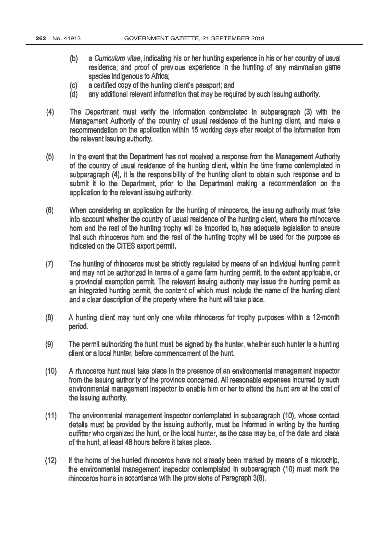- (b) a Curriculum vitae, indicating his or her hunting experience in his or her country of usual residence; and proof of previous experience in the hunting of any mammalian game species indigenous to Africa;
- (c) a certified copy of the hunting client's passport; and
- (d) any additional relevant information that may be required by such issuing authority.
- (4) The Department must verify the information contemplated in subparagraph (3) with the Management Authority of the country of usual residence of the hunting client, and make a recommendation on the application within 15 working days after receipt of the information from the relevant issuing authority.
- (5) In the event that the Department has not received a response from the Management Authority of the country of usual residence of the hunting client, within the time frame contemplated in subparagraph (4), it is the responsibility of the hunting client to obtain such response and to submit it to the Department, prior to the Department making a recommendation on the application to the relevant issuing authority.
- (6) When considering an application for the hunting of rhinoceros, the issuing authority must take into account whether the country of usual residence of the hunting client, where the rhinoceros horn and the rest of the hunting trophy will be imported to, has adequate legislation to ensure that such rhinoceros horn and the rest of the hunting trophy will be used for the purpose as indicated on the CITES export permit.
- (7) The hunting of rhinoceros must be strictly regulated by means of an individual hunting permit and may not be authorized in terms of a game farm hunting permit, to the extent applicable, or a provincial exemption permit. The relevant issuing authority may issue the hunting permit as an integrated hunting permit, the content of which must include the name of the hunting client and a clear description of the property where the hunt will take place.
- (8) A hunting client may hunt only one white rhinoceros for trophy purposes within a 12 -month period.
- (9) The permit authorizing the hunt must be signed by the hunter, whether such hunter is a hunting client or a local hunter, before commencement of the hunt.
- (10) A rhinoceros hunt must take place in the presence of an environmental management inspector from the issuing authority of the province concerned. All reasonable expenses incurred by such environmental management inspector to enable him or her to attend the hunt are at the cost of the issuing authority.
- (11) The environmental management inspector contemplated in subparagraph (10), whose contact details must be provided by the issuing authority, must be informed in writing by the hunting outfitter who organized the hunt, or the local hunter, as the case may be, of the date and place of the hunt, at least 48 hours before it takes place.
- (12) If the horns of the hunted rhinoceros have not already been marked by means of a microchip, the environmental management inspector contemplated in subparagraph (10) must mark the rhinoceros horns in accordance with the provisions of Paragraph 3(8).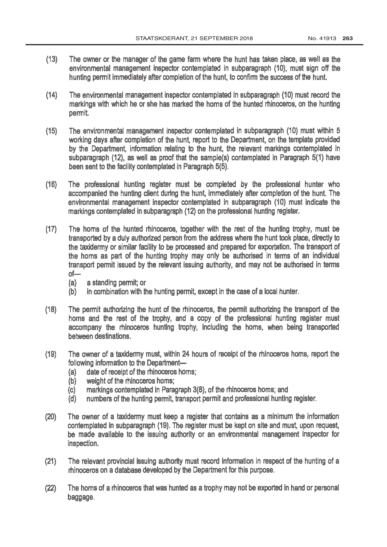- (13) The owner or the manager of the game farm where the hunt has taken place, as well as the environmental management inspector contemplated in subparagraph (10), must sign off the hunting permit immediately after completion of the hunt, to confirm the success of the hunt.
- (14) The environmental management inspector contemplated in subparagraph (10) must record the markings with which he or she has marked the horns of the hunted rhinoceros, on the hunting permit.
- (15) The environmental management inspector contemplated in subparagraph (10) must within 5 working days after completion of the hunt, report to the Department, on the template provided by the Department, information relating to the hunt, the relevant markings contemplated in subparagraph (12), as well as proof that the sample(s) contemplated in Paragraph 5(1) have been sent to the facility contemplated in Paragraph 5(5).
- (16) The professional hunting register must be completed by the professional hunter who accompanied the hunting client during the hunt, immediately after completion of the hunt. The environmental management inspector contemplated in subparagraph (10) must indicate the markings contemplated in subparagraph (12) on the professional hunting register.
- (17) The horns of the hunted rhinoceros, together with the rest of the hunting trophy, must be transported by a duly authorized person from the address where the hunt took place, directly to the taxidermy or similar facility to be processed and prepared for exportation. The transport of the horns as part of the hunting trophy may only be authorised in terms of an individual transport permit issued by the relevant issuing authority, and may not be authorised in terms  $of-$ 
	- (a) a standing permit; or
	- (b) in combination with the hunting permit, except in the case of a local hunter.
- (18) The permit authorizing the hunt of the rhinoceros, the permit authorizing the transport of the horns and the rest of the trophy, and a copy of the professional hunting register must accompany the rhinoceros hunting trophy, including the horns, when being transported between destinations.
- (19) The owner of a taxidermy must, within 24 hours of receipt of the rhinoceros horns, report the following information to the Department-
	- (a) date of receipt of the rhinoceros horns;
	- (b) weight of the rhinoceros homs;
	- (c) markings contemplated in Paragraph 3(8), of the rhinoceros horns; and
	- (d) numbers of the hunting permit, transport permit and professional hunting register.
- (20) The owner of a taxidermy must keep a register that contains as a minimum the information contemplated in subparagraph (19). The register must be kept on site and must, upon request, be made available to the issuing authority or an environmental management inspector for inspection.
- (21) The relevant provincial issuing authority must record information in respect of the hunting of a rhinoceros on a database developed by the Department for this purpose.
- (22) The horns of a rhinoceros that was hunted as a trophy may not be exported in hand or personal baggage.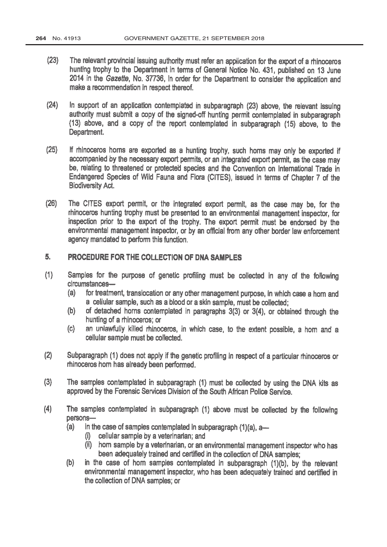- (23) The relevant provincial issuing authority must refer an application for the export of a rhinoceros hunting trophy to the Department in terms of General Notice No. 431, published on 13 June 2014 in the Gazette, No. 37736, in order for the Department to consider the application and make a recommendation in respect thereof.
- (24) In support of an application contemplated in subparagraph (23) above, the relevant issuing authority must submit a copy of the signed-off hunting permit contemplated in subparagraph (13) above, and a copy of the report contemplated in subparagraph (15) above, to the Department.
- (25) If rhinoceros horns are exported as a hunting trophy, such horns may only be exported if accompanied by the necessary export permits, or an integrated export permit, as the case may be, relating to threatened or protected species and the Convention on International Trade in Endangered Species of Wild Fauna and Flora (CITES), issued in terms of Chapter 7 of the Biodiversity Act.
- (26) The CITES export permit, or the integrated export permit, as the case may be, for the rhinoceros hunting trophy must be presented to an environmental management inspector, for inspection prior to the export of the trophy. The export permit must be endorsed by the environmental management inspector, or by an official from any other border law enforcement agency mandated to perform this function.

#### 5. PROCEDURE FOR THE COLLECTION OF DNA SAMPLES

- (1) Samples for the purpose of genetic profiling must be collected in any of the following circumstances-
	- (a) for treatment, translocation or any other management purpose, in which case a horn and a cellular sample, such as a blood or a skin sample, must be collected;
	- (b) of detached horns contemplated in paragraphs 3(3) or 3(4), or obtained through the hunting of a rhinoceros; or
	- (c) an unlawfully killed rhinoceros, in which case, to the extent possible, a horn and a cellular sample must be collected.
- (2) Subparagraph (1) does not apply if the genetic profiling in respect of a particular rhinoceros or rhinoceros horn has already been performed.
- (3) The samples contemplated in subparagraph (1) must be collected by using the DNA kits as approved by the Forensic Services Division of the South African Police Service.
- (4) The samples contemplated in subparagraph (1) above must be collected by the following persons-
	- (a) in the case of samples contemplated in subparagraph  $(1)(a)$ , a-
		- (i) cellular sample by a veterinarian; and
		- (ii) horn sample by a veterinarian, or an environmental management inspector who has been adequately trained and certified in the collection of DNA samples;
	- (b) in the case of horn samples contemplated in subparagraph (1)(b), by the relevant environmental management inspector, who has been adequately trained and certified in the collection of DNA samples; or